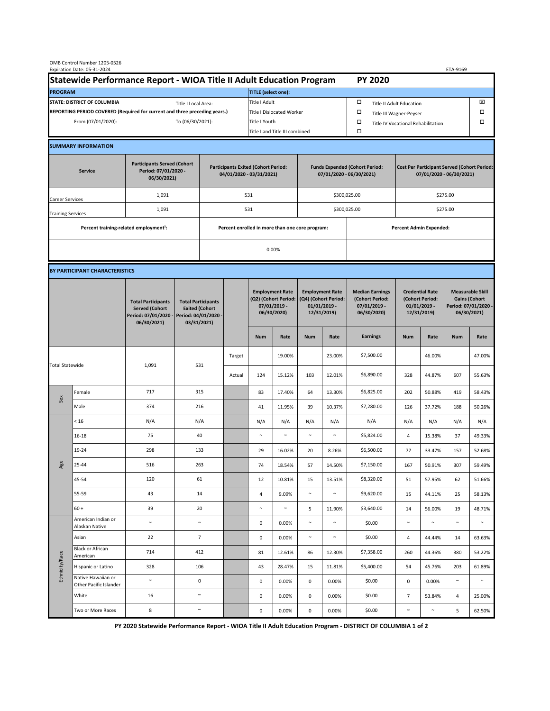| OMB Control Number 1205-0526<br>Expiration Date: 05-31-2024<br>ETA-9169                     |                                                    |                                                                                           |                                                                                           |                                                                        |                                  |                                                                               |        |                                                                                 |                                |                                                                            |                 |                                                                                |        |                                                                                        |        |  |  |
|---------------------------------------------------------------------------------------------|----------------------------------------------------|-------------------------------------------------------------------------------------------|-------------------------------------------------------------------------------------------|------------------------------------------------------------------------|----------------------------------|-------------------------------------------------------------------------------|--------|---------------------------------------------------------------------------------|--------------------------------|----------------------------------------------------------------------------|-----------------|--------------------------------------------------------------------------------|--------|----------------------------------------------------------------------------------------|--------|--|--|
| Statewide Performance Report - WIOA Title II Adult Education Program                        |                                                    |                                                                                           |                                                                                           |                                                                        |                                  |                                                                               |        |                                                                                 |                                |                                                                            | <b>PY 2020</b>  |                                                                                |        |                                                                                        |        |  |  |
| <b>PROGRAM</b>                                                                              |                                                    |                                                                                           |                                                                                           |                                                                        |                                  | <b>TITLE (select one):</b>                                                    |        |                                                                                 |                                |                                                                            |                 |                                                                                |        |                                                                                        |        |  |  |
| <b>STATE: DISTRICT OF COLUMBIA</b><br>Title I Local Area:                                   |                                                    |                                                                                           |                                                                                           |                                                                        |                                  | Title I Adult                                                                 |        |                                                                                 |                                | □<br><b>Title II Adult Education</b>                                       |                 |                                                                                |        |                                                                                        | ⊠      |  |  |
| REPORTING PERIOD COVERED (Required for current and three preceding years.)                  |                                                    |                                                                                           |                                                                                           |                                                                        | <b>Title I Dislocated Worker</b> |                                                                               |        |                                                                                 | $\Box$                         | $\Box$<br>Title III Wagner-Peyser                                          |                 |                                                                                |        |                                                                                        |        |  |  |
| From (07/01/2020):<br>To (06/30/2021):                                                      |                                                    |                                                                                           |                                                                                           |                                                                        | Title I Youth                    |                                                                               |        |                                                                                 |                                | $\Box$<br>□<br>Title IV Vocational Rehabilitation                          |                 |                                                                                |        |                                                                                        |        |  |  |
|                                                                                             |                                                    |                                                                                           |                                                                                           |                                                                        |                                  | Title I and Title III combined                                                |        |                                                                                 |                                | $\Box$                                                                     |                 |                                                                                |        |                                                                                        |        |  |  |
|                                                                                             | <b>SUMMARY INFORMATION</b>                         |                                                                                           |                                                                                           |                                                                        |                                  |                                                                               |        |                                                                                 |                                |                                                                            |                 |                                                                                |        |                                                                                        |        |  |  |
| <b>Participants Served (Cohort</b><br>Period: 07/01/2020 -<br><b>Service</b><br>06/30/2021) |                                                    |                                                                                           |                                                                                           | <b>Participants Exited (Cohort Period:</b><br>04/01/2020 - 03/31/2021) |                                  |                                                                               |        | <b>Funds Expended (Cohort Period:</b><br>07/01/2020 - 06/30/2021)               |                                |                                                                            |                 | <b>Cost Per Participant Served (Cohort Period:</b><br>07/01/2020 - 06/30/2021) |        |                                                                                        |        |  |  |
| Career Services                                                                             |                                                    | 1,091                                                                                     |                                                                                           |                                                                        |                                  | 531                                                                           |        |                                                                                 |                                | \$300,025.00                                                               |                 | \$275.00                                                                       |        |                                                                                        |        |  |  |
| <b>Training Services</b>                                                                    |                                                    | 1,091                                                                                     | 531                                                                                       |                                                                        |                                  |                                                                               |        |                                                                                 | \$300,025.00                   |                                                                            | \$275.00        |                                                                                |        |                                                                                        |        |  |  |
|                                                                                             | Percent training-related employment <sup>1</sup> : |                                                                                           |                                                                                           | Percent enrolled in more than one core program:                        |                                  |                                                                               |        |                                                                                 | <b>Percent Admin Expended:</b> |                                                                            |                 |                                                                                |        |                                                                                        |        |  |  |
|                                                                                             |                                                    |                                                                                           |                                                                                           |                                                                        |                                  | 0.00%                                                                         |        |                                                                                 |                                |                                                                            |                 |                                                                                |        |                                                                                        |        |  |  |
|                                                                                             |                                                    |                                                                                           |                                                                                           |                                                                        |                                  |                                                                               |        |                                                                                 |                                |                                                                            |                 |                                                                                |        |                                                                                        |        |  |  |
| BY PARTICIPANT CHARACTERISTICS                                                              |                                                    |                                                                                           |                                                                                           |                                                                        |                                  |                                                                               |        |                                                                                 |                                |                                                                            |                 |                                                                                |        |                                                                                        |        |  |  |
|                                                                                             |                                                    | <b>Total Participants</b><br><b>Served (Cohort</b><br>Period: 07/01/2020 -<br>06/30/2021) | <b>Total Participants</b><br><b>Exited (Cohort</b><br>Period: 04/01/2020 -<br>03/31/2021) |                                                                        |                                  | <b>Employment Rate</b><br>(Q2) (Cohort Period:<br>07/01/2019 -<br>06/30/2020) |        | <b>Employment Rate</b><br>(Q4) (Cohort Period:<br>$01/01/2019$ -<br>12/31/2019) |                                | <b>Median Earnings</b><br>(Cohort Period:<br>$07/01/2019 -$<br>06/30/2020) |                 | <b>Credential Rate</b><br>(Cohort Period:<br>$01/01/2019$ -<br>12/31/2019)     |        | <b>Measurable Skill</b><br><b>Gains (Cohort</b><br>Period: 07/01/2020 -<br>06/30/2021) |        |  |  |
|                                                                                             |                                                    |                                                                                           |                                                                                           |                                                                        |                                  | <b>Num</b>                                                                    | Rate   | <b>Num</b>                                                                      | Rate                           |                                                                            | <b>Earnings</b> | <b>Num</b>                                                                     | Rate   | <b>Num</b>                                                                             | Rate   |  |  |
| <b>Total Statewide</b>                                                                      |                                                    | 1,091                                                                                     | 531                                                                                       |                                                                        | Target                           |                                                                               | 19.00% |                                                                                 | 23.00%                         |                                                                            | \$7,500.00      |                                                                                | 46.00% |                                                                                        | 47.00% |  |  |
|                                                                                             |                                                    |                                                                                           |                                                                                           |                                                                        | Actual                           | 124                                                                           | 15.12% | 103                                                                             | 12.01%                         |                                                                            | \$6,890.00      | 328                                                                            | 44.87% | 607                                                                                    | 55.63% |  |  |
| Sex                                                                                         | Female                                             | 717                                                                                       | 315                                                                                       |                                                                        |                                  | 83                                                                            | 17.40% | 64                                                                              | 13.30%                         |                                                                            | \$6,825.00      | 202                                                                            | 50.88% | 419                                                                                    | 58.43% |  |  |
|                                                                                             | Male                                               | 374                                                                                       | 216                                                                                       |                                                                        |                                  | 41                                                                            | 11.95% | 39                                                                              | 10.37%                         |                                                                            | \$7,280.00      | 126                                                                            | 37.72% | 188                                                                                    | 50.26% |  |  |
| Age                                                                                         | < 16                                               | N/A                                                                                       | N/A                                                                                       |                                                                        |                                  | N/A                                                                           | N/A    | N/A                                                                             | N/A                            |                                                                            | N/A             | N/A                                                                            | N/A    | N/A                                                                                    | N/A    |  |  |
|                                                                                             | 16-18                                              | 75                                                                                        | 40                                                                                        |                                                                        |                                  |                                                                               | $\sim$ | $\sim$                                                                          | $\sim$                         |                                                                            | \$5,824.00      | 4                                                                              | 15.38% | 37                                                                                     | 49.33% |  |  |
|                                                                                             | 19-24                                              | 298                                                                                       | 133                                                                                       |                                                                        |                                  | 29                                                                            | 16.02% | 20                                                                              | 8.26%                          |                                                                            | \$6,500.00      | 77                                                                             | 33.47% | 157                                                                                    | 52.68% |  |  |
|                                                                                             | 25-44                                              | 516                                                                                       | 263                                                                                       |                                                                        |                                  | 74                                                                            | 18.54% | 57                                                                              | 14.50%                         |                                                                            | \$7,150.00      | 167                                                                            | 50.91% | 307                                                                                    | 59.49% |  |  |
|                                                                                             | 45-54                                              | 120                                                                                       | 61                                                                                        |                                                                        |                                  | 12                                                                            | 10.81% | 15                                                                              | 13.51%                         |                                                                            | \$8,320.00      | 51                                                                             | 57.95% | 62                                                                                     | 51.66% |  |  |
|                                                                                             | 55-59                                              | 43                                                                                        | 14                                                                                        |                                                                        |                                  | 4                                                                             | 9.09%  | $\sim$                                                                          | $\sim$                         |                                                                            | \$9,620.00      | 15                                                                             | 44.11% | 25                                                                                     | 58.13% |  |  |
|                                                                                             | $60 +$                                             | 39                                                                                        | 20                                                                                        |                                                                        |                                  | $\sim$                                                                        | $\sim$ | 5                                                                               | 11.90%                         |                                                                            | \$3,640.00      | 14                                                                             | 56.00% | 19                                                                                     | 48.71% |  |  |
| Ethnicity/Race                                                                              | American Indian or<br>Alaskan Native               | $\sim$                                                                                    | $\sim$                                                                                    |                                                                        |                                  | 0                                                                             | 0.00%  | $\sim$                                                                          | $\sim$                         |                                                                            | \$0.00          | $\sim$                                                                         | $\sim$ | $\sim$                                                                                 | $\sim$ |  |  |
|                                                                                             | Asian                                              | 22                                                                                        | $\overline{7}$                                                                            |                                                                        |                                  | 0                                                                             | 0.00%  | $\sim$                                                                          | $\sim$                         |                                                                            | \$0.00          | 4                                                                              | 44.44% | 14                                                                                     | 63.63% |  |  |
|                                                                                             | <b>Black or African</b><br>American                | 714                                                                                       | 412                                                                                       |                                                                        |                                  | 81                                                                            | 12.61% | 86                                                                              | 12.30%                         |                                                                            | \$7,358.00      | 260                                                                            | 44.36% | 380                                                                                    | 53.22% |  |  |
|                                                                                             | Hispanic or Latino                                 | 328                                                                                       | 106                                                                                       |                                                                        |                                  | 43                                                                            | 28.47% | 15                                                                              | 11.81%                         |                                                                            | \$5,400.00      | 54                                                                             | 45.76% | 203                                                                                    | 61.89% |  |  |
|                                                                                             | Native Hawaiian or<br>Other Pacific Islander       | $\sim$                                                                                    | 0                                                                                         |                                                                        |                                  | 0                                                                             | 0.00%  | 0                                                                               | 0.00%                          |                                                                            | \$0.00          | 0                                                                              | 0.00%  | $\sim$                                                                                 | $\sim$ |  |  |
|                                                                                             | White                                              | 16                                                                                        | $\sim$                                                                                    |                                                                        |                                  | 0                                                                             | 0.00%  | 0                                                                               | 0.00%                          |                                                                            | \$0.00          | $\overline{7}$                                                                 | 53.84% | 4                                                                                      | 25.00% |  |  |
|                                                                                             | Two or More Races                                  | 8                                                                                         | $\sim$                                                                                    |                                                                        |                                  | 0                                                                             | 0.00%  | 0                                                                               | 0.00%                          |                                                                            | \$0.00          | $\tilde{}$                                                                     | $\sim$ | 5                                                                                      | 62.50% |  |  |

 **PY 2020 Statewide Performance Report - WIOA Title II Adult Education Program - DISTRICT OF COLUMBIA 1 of 2**